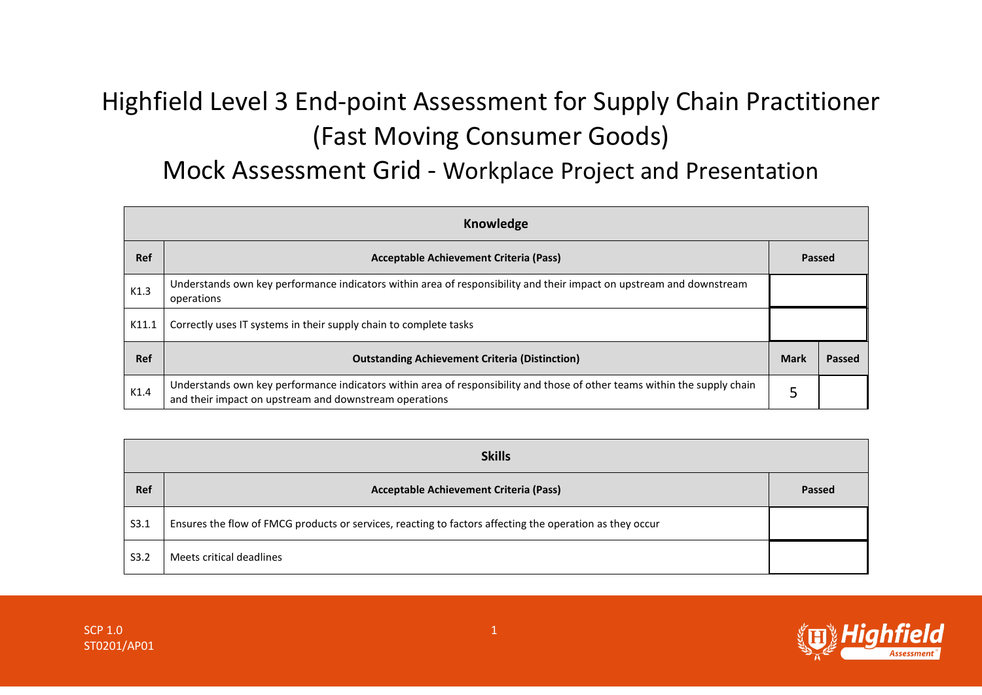## Highfield Level 3 End-point Assessment for Supply Chain Practitioner (Fast Moving Consumer Goods)

## Mock Assessment Grid - Workplace Project and Presentation

| Knowledge  |                                                                                                                                                                                     |             |        |
|------------|-------------------------------------------------------------------------------------------------------------------------------------------------------------------------------------|-------------|--------|
| <b>Ref</b> | Acceptable Achievement Criteria (Pass)                                                                                                                                              | Passed      |        |
| K1.3       | Understands own key performance indicators within area of responsibility and their impact on upstream and downstream<br>operations                                                  |             |        |
| K11.1      | Correctly uses IT systems in their supply chain to complete tasks                                                                                                                   |             |        |
| <b>Ref</b> | <b>Outstanding Achievement Criteria (Distinction)</b>                                                                                                                               | <b>Mark</b> | Passed |
| K1.4       | Understands own key performance indicators within area of responsibility and those of other teams within the supply chain<br>and their impact on upstream and downstream operations |             |        |

| <b>Skills</b> |                                                                                                          |        |  |
|---------------|----------------------------------------------------------------------------------------------------------|--------|--|
| <b>Ref</b>    | <b>Acceptable Achievement Criteria (Pass)</b>                                                            | Passed |  |
| S3.1          | Ensures the flow of FMCG products or services, reacting to factors affecting the operation as they occur |        |  |
| S3.2          | Meets critical deadlines                                                                                 |        |  |

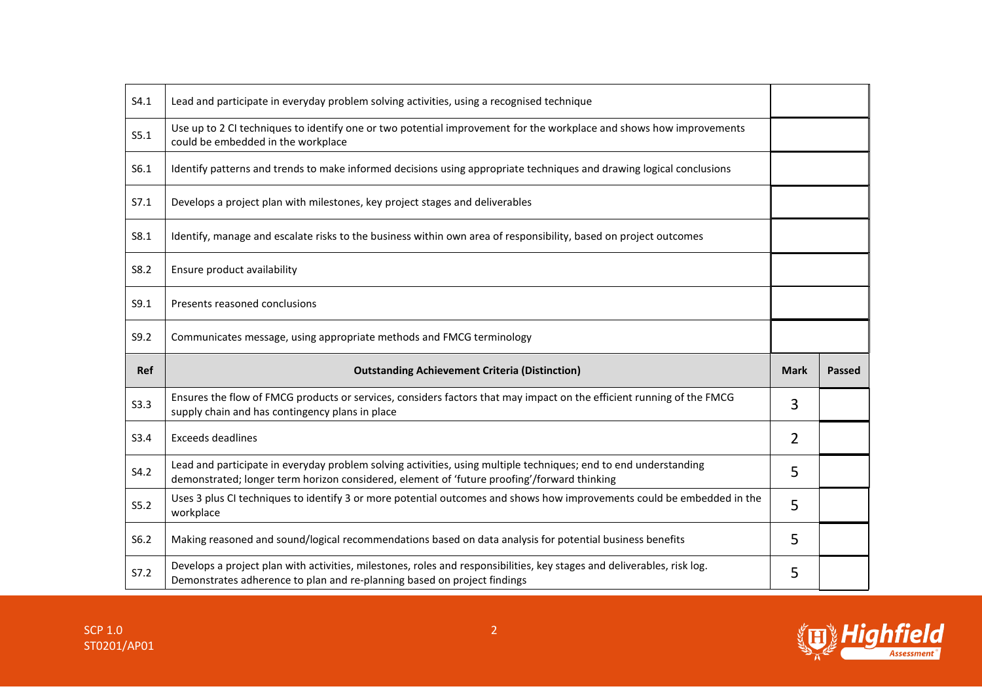| S4.1        | Lead and participate in everyday problem solving activities, using a recognised technique                                                                                                                       |             |               |
|-------------|-----------------------------------------------------------------------------------------------------------------------------------------------------------------------------------------------------------------|-------------|---------------|
| S5.1        | Use up to 2 CI techniques to identify one or two potential improvement for the workplace and shows how improvements<br>could be embedded in the workplace                                                       |             |               |
| S6.1        | Identify patterns and trends to make informed decisions using appropriate techniques and drawing logical conclusions                                                                                            |             |               |
| S7.1        | Develops a project plan with milestones, key project stages and deliverables                                                                                                                                    |             |               |
| S8.1        | Identify, manage and escalate risks to the business within own area of responsibility, based on project outcomes                                                                                                |             |               |
| S8.2        | Ensure product availability                                                                                                                                                                                     |             |               |
| S9.1        | Presents reasoned conclusions                                                                                                                                                                                   |             |               |
| S9.2        | Communicates message, using appropriate methods and FMCG terminology                                                                                                                                            |             |               |
|             |                                                                                                                                                                                                                 |             |               |
| Ref         | <b>Outstanding Achievement Criteria (Distinction)</b>                                                                                                                                                           | <b>Mark</b> | <b>Passed</b> |
| <b>S3.3</b> | Ensures the flow of FMCG products or services, considers factors that may impact on the efficient running of the FMCG<br>supply chain and has contingency plans in place                                        | 3           |               |
| S3.4        | <b>Exceeds deadlines</b>                                                                                                                                                                                        | 2           |               |
| S4.2        | Lead and participate in everyday problem solving activities, using multiple techniques; end to end understanding<br>demonstrated; longer term horizon considered, element of 'future proofing'/forward thinking | 5           |               |
| S5.2        | Uses 3 plus CI techniques to identify 3 or more potential outcomes and shows how improvements could be embedded in the<br>workplace                                                                             | 5           |               |
| S6.2        | Making reasoned and sound/logical recommendations based on data analysis for potential business benefits                                                                                                        | 5           |               |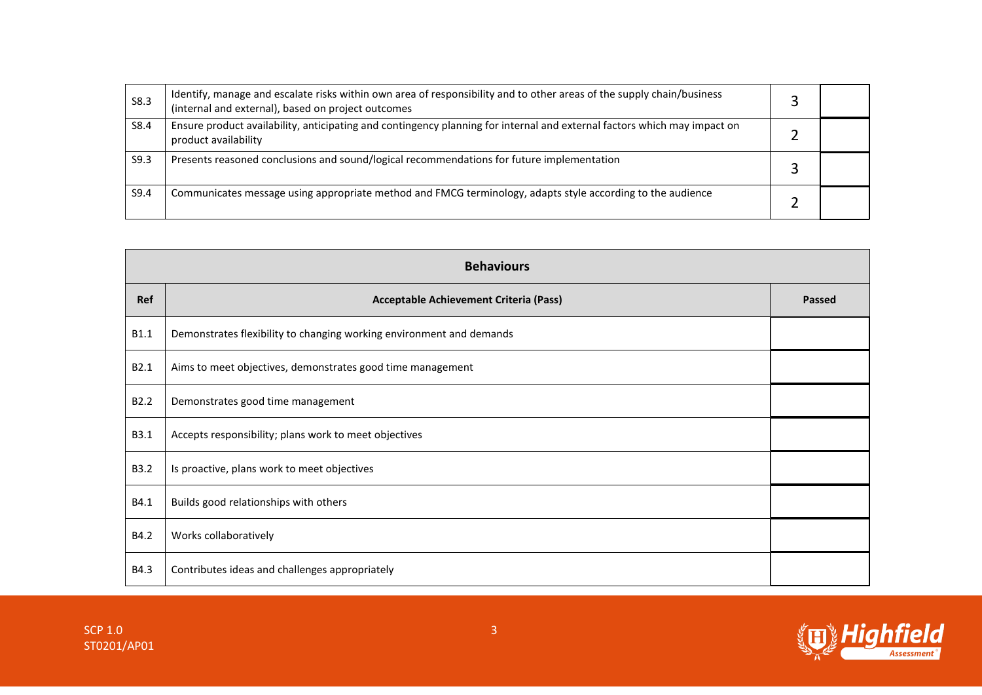| S8.3 | Identify, manage and escalate risks within own area of responsibility and to other areas of the supply chain/business<br>(internal and external), based on project outcomes |  |
|------|-----------------------------------------------------------------------------------------------------------------------------------------------------------------------------|--|
| S8.4 | Ensure product availability, anticipating and contingency planning for internal and external factors which may impact on<br>product availability                            |  |
| S9.3 | Presents reasoned conclusions and sound/logical recommendations for future implementation                                                                                   |  |
| S9.4 | Communicates message using appropriate method and FMCG terminology, adapts style according to the audience                                                                  |  |

| <b>Behaviours</b> |                                                                      |        |
|-------------------|----------------------------------------------------------------------|--------|
| <b>Ref</b>        | Acceptable Achievement Criteria (Pass)                               | Passed |
| B1.1              | Demonstrates flexibility to changing working environment and demands |        |
| B2.1              | Aims to meet objectives, demonstrates good time management           |        |
| B <sub>2.2</sub>  | Demonstrates good time management                                    |        |
| B3.1              | Accepts responsibility; plans work to meet objectives                |        |
| <b>B3.2</b>       | Is proactive, plans work to meet objectives                          |        |
| B4.1              | Builds good relationships with others                                |        |
| B4.2              | Works collaboratively                                                |        |
| B4.3              | Contributes ideas and challenges appropriately                       |        |